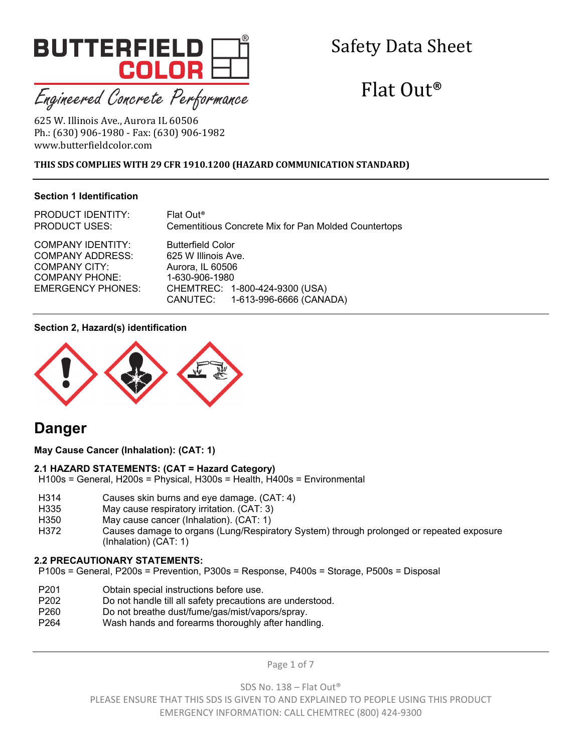

# Safety Data Sheet

# $Flat$  Out<sup>®</sup>

625 W. Illinois Ave., Aurora IL 60506 Ph.: (630) 906-1980 - Fax: (630) 906-1982 www.butterfieldcolor.com 

# **THIS SDS COMPLIES WITH 29 CFR 1910.1200 (HAZARD COMMUNICATION STANDARD)**

# **Section 1 Identification**

PRODUCT IDENTITY: Flat Out® PRODUCT USES: Cementitious Concrete Mix for Pan Molded Countertops

COMPANY ADDRESS: 625 W Illinois Ave. COMPANY CITY: Aurora, IL 60506 COMPANY PHONE: 1-630-906-1980

COMPANY IDENTITY: Butterfield Color EMERGENCY PHONES: CHEMTREC: 1-800-424-9300 (USA) CANUTEC: 1-613-996-6666 (CANADA)

#### **Section 2, Hazard(s) identification**



# **Danger**

**May Cause Cancer (Inhalation): (CAT: 1)**

# **2.1 HAZARD STATEMENTS: (CAT = Hazard Category)**

H100s = General, H200s = Physical, H300s = Health, H400s = Environmental

- H314 Causes skin burns and eye damage. (CAT: 4)
- H335 May cause respiratory irritation. (CAT: 3)
- H350 May cause cancer (Inhalation). (CAT: 1)
- H372 Causes damage to organs (Lung/Respiratory System) through prolonged or repeated exposure (Inhalation) (CAT: 1)

#### **2.2 PRECAUTIONARY STATEMENTS:**

P100s = General, P200s = Prevention, P300s = Response, P400s = Storage, P500s = Disposal

- P201 Obtain special instructions before use.
- P202 Do not handle till all safety precautions are understood.
- P260 Do not breathe dust/fume/gas/mist/vapors/spray.
- P264 Wash hands and forearms thoroughly after handling.

Page 1 of 7

SDS No. 138 – Flat Out®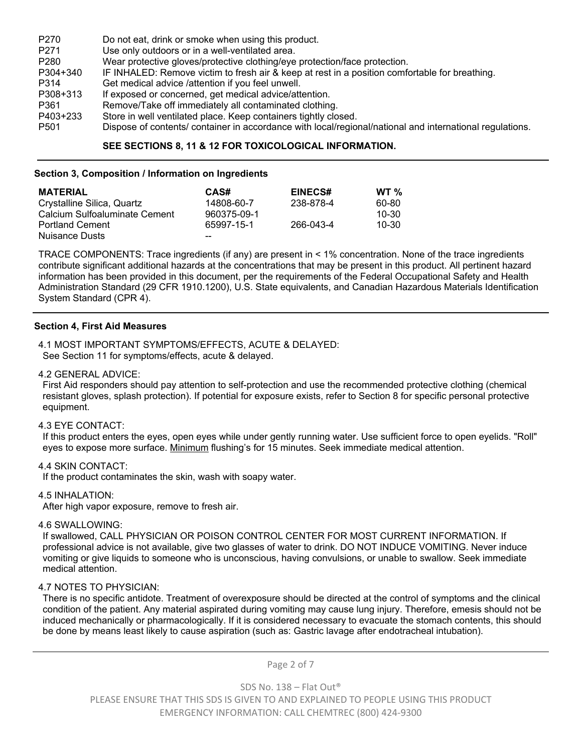| P <sub>270</sub> | Do not eat, drink or smoke when using this product.                                                      |
|------------------|----------------------------------------------------------------------------------------------------------|
| P <sub>271</sub> | Use only outdoors or in a well-ventilated area.                                                          |
| P280             | Wear protective gloves/protective clothing/eye protection/face protection.                               |
| P304+340         | IF INHALED: Remove victim to fresh air & keep at rest in a position comfortable for breathing.           |
| P314             | Get medical advice /attention if you feel unwell.                                                        |
| P308+313         | If exposed or concerned, get medical advice/attention.                                                   |
| P361             | Remove/Take off immediately all contaminated clothing.                                                   |
| P403+233         | Store in well ventilated place. Keep containers tightly closed.                                          |
| P <sub>501</sub> | Dispose of contents/ container in accordance with local/regional/national and international regulations. |

#### **SEE SECTIONS 8, 11 & 12 FOR TOXICOLOGICAL INFORMATION.**

#### **Section 3, Composition / Information on Ingredients**

| <b>MATERIAL</b>               | CAS#        | <b>EINECS#</b> | $WT \%$   |
|-------------------------------|-------------|----------------|-----------|
| Crystalline Silica, Quartz    | 14808-60-7  | 238-878-4      | 60-80     |
| Calcium Sulfoaluminate Cement | 960375-09-1 |                | $10 - 30$ |
| <b>Portland Cement</b>        | 65997-15-1  | 266-043-4      | 10-30     |
| Nuisance Dusts                | --          |                |           |

TRACE COMPONENTS: Trace ingredients (if any) are present in < 1% concentration. None of the trace ingredients contribute significant additional hazards at the concentrations that may be present in this product. All pertinent hazard information has been provided in this document, per the requirements of the Federal Occupational Safety and Health Administration Standard (29 CFR 1910.1200), U.S. State equivalents, and Canadian Hazardous Materials Identification System Standard (CPR 4).

#### **Section 4, First Aid Measures**

4.1 MOST IMPORTANT SYMPTOMS/EFFECTS, ACUTE & DELAYED: See Section 11 for symptoms/effects, acute & delayed.

#### 4.2 GENERAL ADVICE:

First Aid responders should pay attention to self-protection and use the recommended protective clothing (chemical resistant gloves, splash protection). If potential for exposure exists, refer to Section 8 for specific personal protective equipment.

### 4.3 EYE CONTACT:

If this product enters the eyes, open eyes while under gently running water. Use sufficient force to open eyelids. "Roll" eyes to expose more surface. Minimum flushing's for 15 minutes. Seek immediate medical attention.

#### 4.4 SKIN CONTACT:

If the product contaminates the skin, wash with soapy water.

#### 4.5 INHALATION:

After high vapor exposure, remove to fresh air.

#### 4.6 SWALLOWING:

If swallowed, CALL PHYSICIAN OR POISON CONTROL CENTER FOR MOST CURRENT INFORMATION. If professional advice is not available, give two glasses of water to drink. DO NOT INDUCE VOMITING. Never induce vomiting or give liquids to someone who is unconscious, having convulsions, or unable to swallow. Seek immediate medical attention.

#### 4.7 NOTES TO PHYSICIAN:

There is no specific antidote. Treatment of overexposure should be directed at the control of symptoms and the clinical condition of the patient. Any material aspirated during vomiting may cause lung injury. Therefore, emesis should not be induced mechanically or pharmacologically. If it is considered necessary to evacuate the stomach contents, this should be done by means least likely to cause aspiration (such as: Gastric lavage after endotracheal intubation).

Page 2 of 7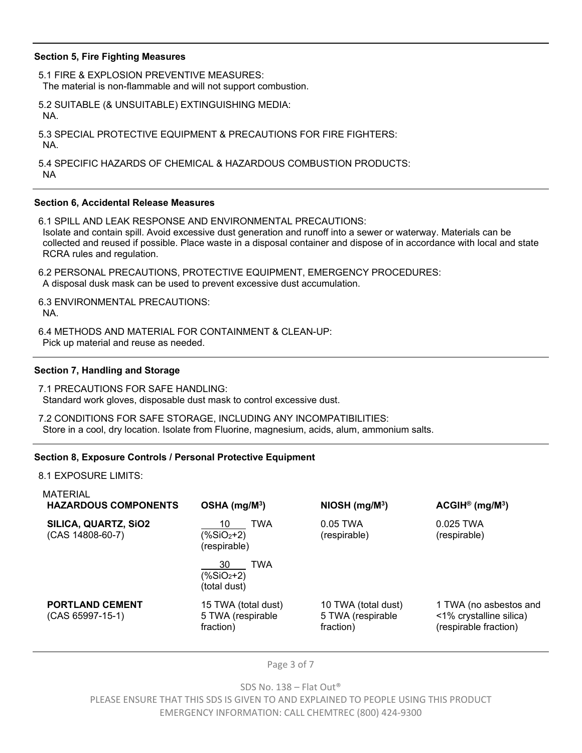#### **Section 5, Fire Fighting Measures**

5.1 FIRE & EXPLOSION PREVENTIVE MEASURES: The material is non-flammable and will not support combustion.

5.2 SUITABLE (& UNSUITABLE) EXTINGUISHING MEDIA: NA.

5.3 SPECIAL PROTECTIVE EQUIPMENT & PRECAUTIONS FOR FIRE FIGHTERS: NA.

5.4 SPECIFIC HAZARDS OF CHEMICAL & HAZARDOUS COMBUSTION PRODUCTS: NA

#### **Section 6, Accidental Release Measures**

6.1 SPILL AND LEAK RESPONSE AND ENVIRONMENTAL PRECAUTIONS: Isolate and contain spill. Avoid excessive dust generation and runoff into a sewer or waterway. Materials can be collected and reused if possible. Place waste in a disposal container and dispose of in accordance with local and state RCRA rules and regulation.

6.2 PERSONAL PRECAUTIONS, PROTECTIVE EQUIPMENT, EMERGENCY PROCEDURES: A disposal dusk mask can be used to prevent excessive dust accumulation.

6.3 ENVIRONMENTAL PRECAUTIONS: NA.

6.4 METHODS AND MATERIAL FOR CONTAINMENT & CLEAN-UP: Pick up material and reuse as needed.

#### **Section 7, Handling and Storage**

7.1 PRECAUTIONS FOR SAFE HANDLING: Standard work gloves, disposable dust mask to control excessive dust.

7.2 CONDITIONS FOR SAFE STORAGE, INCLUDING ANY INCOMPATIBILITIES: Store in a cool, dry location. Isolate from Fluorine, magnesium, acids, alum, ammonium salts.

#### **Section 8, Exposure Controls / Personal Protective Equipment**

8.1 EXPOSURE LIMITS:

| <b>MATERIAL</b><br><b>HAZARDOUS COMPONENTS</b> | $OSHA$ (mg/M <sup>3</sup> )                           | NIOSH (mg/M <sup>3</sup> )                            | $ACGH^{\circ}$ (mg/M <sup>3</sup> )                                        |
|------------------------------------------------|-------------------------------------------------------|-------------------------------------------------------|----------------------------------------------------------------------------|
| SILICA, QUARTZ, SiO2<br>$(CAS 14808-60-7)$     | <b>TWA</b><br>10<br>$(\%SiO2+2)$<br>(respirable)      | $0.05$ TWA<br>(respirable)                            | 0.025 TWA<br>(respirable)                                                  |
|                                                | <b>TWA</b><br>30<br>$(\%SiO2+2)$<br>(total dust)      |                                                       |                                                                            |
| <b>PORTLAND CEMENT</b><br>$(CAS 65997-15-1)$   | 15 TWA (total dust)<br>5 TWA (respirable<br>fraction) | 10 TWA (total dust)<br>5 TWA (respirable<br>fraction) | 1 TWA (no asbestos and<br><1% crystalline silica)<br>(respirable fraction) |
|                                                |                                                       |                                                       |                                                                            |

Page 3 of 7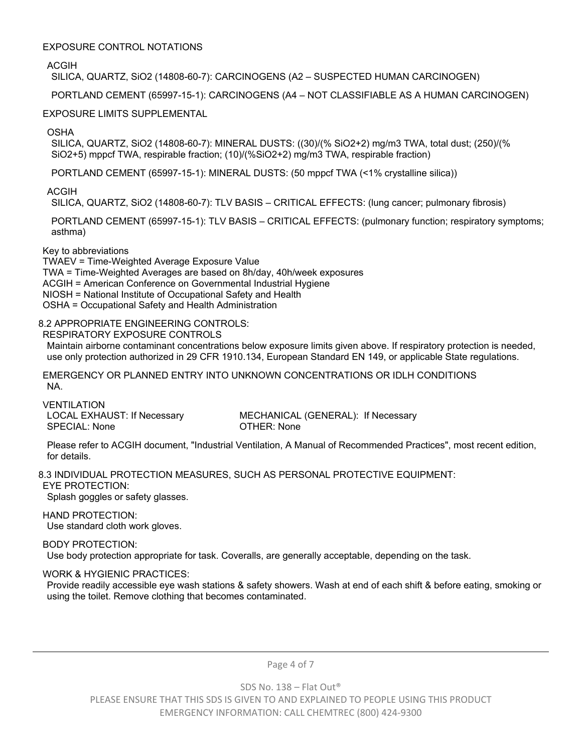#### EXPOSURE CONTROL NOTATIONS

ACGIH

SILICA, QUARTZ, SiO2 (14808-60-7): CARCINOGENS (A2 – SUSPECTED HUMAN CARCINOGEN)

PORTLAND CEMENT (65997-15-1): CARCINOGENS (A4 – NOT CLASSIFIABLE AS A HUMAN CARCINOGEN)

# EXPOSURE LIMITS SUPPLEMENTAL

OSHA

SILICA, QUARTZ, SiO2 (14808-60-7): MINERAL DUSTS: ((30)/(% SiO2+2) mg/m3 TWA, total dust; (250)/(% SiO2+5) mppcf TWA, respirable fraction; (10)/(%SiO2+2) mg/m3 TWA, respirable fraction)

PORTLAND CEMENT (65997-15-1): MINERAL DUSTS: (50 mppcf TWA (<1% crystalline silica))

ACGIH

SILICA, QUARTZ, SiO2 (14808-60-7): TLV BASIS – CRITICAL EFFECTS: (lung cancer; pulmonary fibrosis)

PORTLAND CEMENT (65997-15-1): TLV BASIS – CRITICAL EFFECTS: (pulmonary function; respiratory symptoms; asthma)

#### Key to abbreviations

TWAEV = Time-Weighted Average Exposure Value TWA = Time-Weighted Averages are based on 8h/day, 40h/week exposures ACGIH = American Conference on Governmental Industrial Hygiene NIOSH = National Institute of Occupational Safety and Health OSHA = Occupational Safety and Health Administration

# 8.2 APPROPRIATE ENGINEERING CONTROLS:

RESPIRATORY EXPOSURE CONTROLS

Maintain airborne contaminant concentrations below exposure limits given above. If respiratory protection is needed, use only protection authorized in 29 CFR 1910.134, European Standard EN 149, or applicable State regulations.

EMERGENCY OR PLANNED ENTRY INTO UNKNOWN CONCENTRATIONS OR IDLH CONDITIONS NA.

VENTILATION SPECIAL: None **OTHER: None** 

LOCAL EXHAUST: If Necessary MECHANICAL (GENERAL): If Necessary

Please refer to ACGIH document, "Industrial Ventilation, A Manual of Recommended Practices", most recent edition, for details.

8.3 INDIVIDUAL PROTECTION MEASURES, SUCH AS PERSONAL PROTECTIVE EQUIPMENT: EYE PROTECTION:

Splash goggles or safety glasses.

HAND PROTECTION:

Use standard cloth work gloves.

BODY PROTECTION:

Use body protection appropriate for task. Coveralls, are generally acceptable, depending on the task.

# WORK & HYGIENIC PRACTICES:

Provide readily accessible eye wash stations & safety showers. Wash at end of each shift & before eating, smoking or using the toilet. Remove clothing that becomes contaminated.

Page 4 of 7

SDS No. 138 – Flat Out®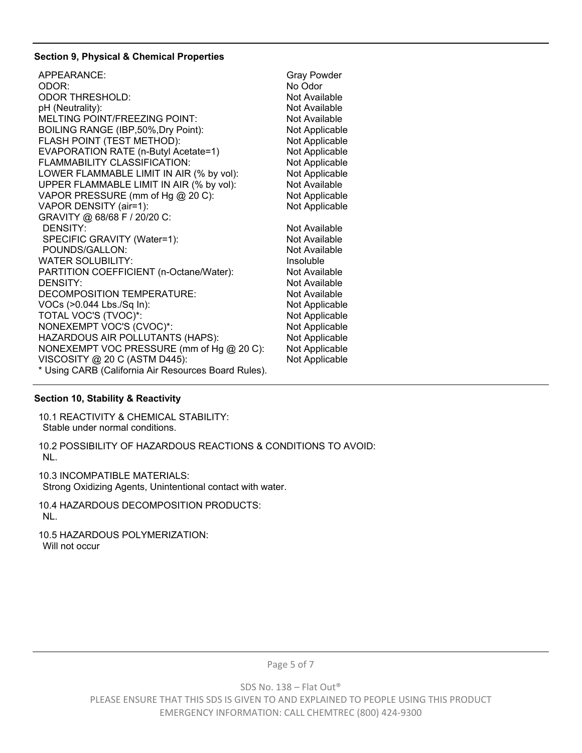#### **Section 9, Physical & Chemical Properties**

| APPEARANCE:                                          | <b>Gray Powder</b> |
|------------------------------------------------------|--------------------|
| ODOR:                                                | No Odor            |
| <b>ODOR THRESHOLD:</b>                               | Not Available      |
| pH (Neutrality):                                     | Not Available      |
| MELTING POINT/FREEZING POINT:                        | Not Available      |
| BOILING RANGE (IBP,50%, Dry Point):                  | Not Applicable     |
| FLASH POINT (TEST METHOD):                           | Not Applicable     |
| EVAPORATION RATE (n-Butyl Acetate=1)                 | Not Applicable     |
| FLAMMABILITY CLASSIFICATION:                         | Not Applicable     |
| LOWER FLAMMABLE LIMIT IN AIR (% by vol):             | Not Applicable     |
| UPPER FLAMMABLE LIMIT IN AIR (% by vol):             | Not Available      |
| VAPOR PRESSURE (mm of Hg @ 20 C):                    | Not Applicable     |
| VAPOR DENSITY (air=1):                               | Not Applicable     |
| GRAVITY @ 68/68 F / 20/20 C:                         |                    |
| <b>DENSITY:</b>                                      | Not Available      |
| SPECIFIC GRAVITY (Water=1):                          | Not Available      |
| POUNDS/GALLON:                                       | Not Available      |
| <b>WATER SOLUBILITY:</b>                             | Insoluble          |
| PARTITION COEFFICIENT (n-Octane/Water):              | Not Available      |
| <b>DENSITY:</b>                                      | Not Available      |
| DECOMPOSITION TEMPERATURE:                           | Not Available      |
| VOCs (>0.044 Lbs./Sq In):                            | Not Applicable     |
| TOTAL VOC'S (TVOC)*:                                 | Not Applicable     |
| NONEXEMPT VOC'S (CVOC)*:                             | Not Applicable     |
| HAZARDOUS AIR POLLUTANTS (HAPS):                     | Not Applicable     |
| NONEXEMPT VOC PRESSURE (mm of Hg @ 20 C):            | Not Applicable     |
| VISCOSITY @ 20 C (ASTM D445):                        | Not Applicable     |
| * Using CARB (California Air Resources Board Rules). |                    |

# **Section 10, Stability & Reactivity**

10.1 REACTIVITY & CHEMICAL STABILITY: Stable under normal conditions.

10.2 POSSIBILITY OF HAZARDOUS REACTIONS & CONDITIONS TO AVOID: NL.

10.3 INCOMPATIBLE MATERIALS:

Strong Oxidizing Agents, Unintentional contact with water.

10.4 HAZARDOUS DECOMPOSITION PRODUCTS: NL.

10.5 HAZARDOUS POLYMERIZATION: Will not occur

Page 5 of 7

SDS No. 138 – Flat Out®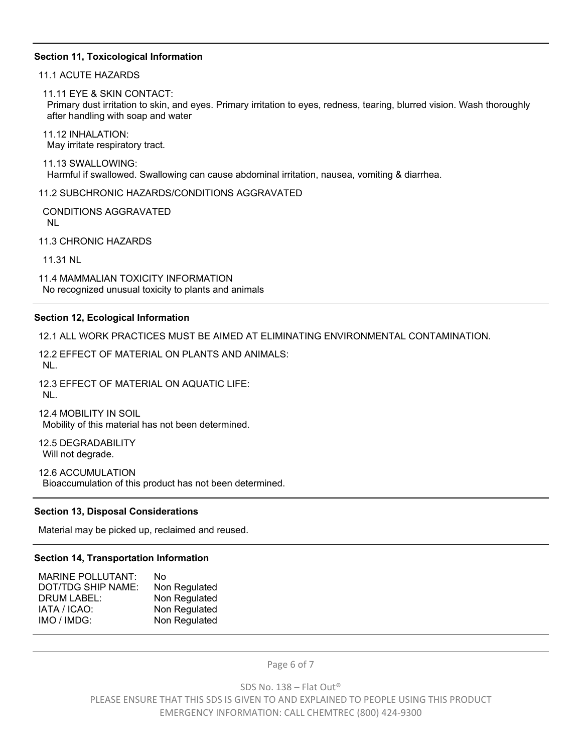#### **Section 11, Toxicological Information**

11.1 ACUTE HAZARDS

11.11 EYE & SKIN CONTACT:

Primary dust irritation to skin, and eyes. Primary irritation to eyes, redness, tearing, blurred vision. Wash thoroughly after handling with soap and water

11.12 INHALATION: May irritate respiratory tract.

11.13 SWALLOWING: Harmful if swallowed. Swallowing can cause abdominal irritation, nausea, vomiting & diarrhea.

11.2 SUBCHRONIC HAZARDS/CONDITIONS AGGRAVATED

CONDITIONS AGGRAVATED NL

11.3 CHRONIC HAZARDS

11.31 NL

11.4 MAMMALIAN TOXICITY INFORMATION No recognized unusual toxicity to plants and animals

#### **Section 12, Ecological Information**

12.1 ALL WORK PRACTICES MUST BE AIMED AT ELIMINATING ENVIRONMENTAL CONTAMINATION.

12.2 EFFECT OF MATERIAL ON PLANTS AND ANIMALS: NL.

12.3 EFFECT OF MATERIAL ON AQUATIC LIFE: NL.

12.4 MOBILITY IN SOIL Mobility of this material has not been determined.

12.5 DEGRADABILITY Will not degrade.

12.6 ACCUMULATION

Bioaccumulation of this product has not been determined.

#### **Section 13, Disposal Considerations**

Material may be picked up, reclaimed and reused.

#### **Section 14, Transportation Information**

| <b>MARINE POLLUTANT:</b> | N٥            |
|--------------------------|---------------|
| DOT/TDG SHIP NAME:       | Non Regulated |
| <b>DRUM LABEL:</b>       | Non Regulated |
| IATA / ICAO:             | Non Regulated |
| IMO / IMDG:              | Non Regulated |

Page 6 of 7